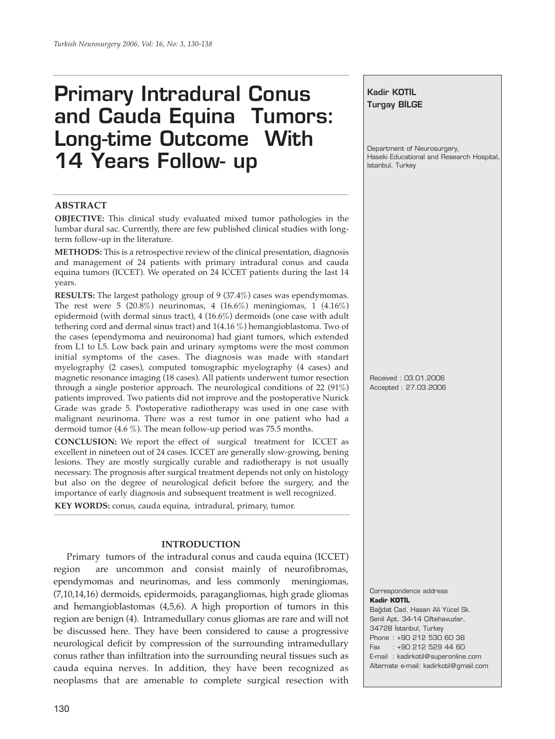# **Primary Intradural Conus and Cauda Equina Tumors: Long-time Outcome With 14 Years Follow- up**

### **ABSTRACT**

**OBJECTIVE:** This clinical study evaluated mixed tumor pathologies in the lumbar dural sac. Currently, there are few published clinical studies with longterm follow-up in the literature.

**METHODS:** This is a retrospective review of the clinical presentation, diagnosis and management of 24 patients with primary intradural conus and cauda equina tumors (ICCET). We operated on 24 ICCET patients during the last 14 years.

**RESULTS:** The largest pathology group of 9 (37.4%) cases was ependymomas. The rest were 5  $(20.8\%)$  neurinomas, 4  $(16.6\%)$  meningiomas, 1  $(4.16\%)$ epidermoid (with dermal sinus tract), 4 (16.6%) dermoids (one case with adult tethering cord and dermal sinus tract) and 1(4.16 %) hemangioblastoma. Two of the cases (ependymoma and neuironoma) had giant tumors, which extended from L1 to L5. Low back pain and urinary symptoms were the most common initial symptoms of the cases. The diagnosis was made with standart myelography (2 cases), computed tomographic myelography (4 cases) and magnetic resonance imaging (18 cases). All patients underwent tumor resection through a single posterior approach. The neurological conditions of 22 (91%) patients improved. Two patients did not improve and the postoperative Nurick Grade was grade 5. Postoperative radiotherapy was used in one case with malignant neurinoma. There was a rest tumor in one patient who had a dermoid tumor (4.6 %). The mean follow-up period was 75.5 months.

**CONCLUSION:** We report the effect of surgical treatment for ICCET as excellent in nineteen out of 24 cases. ICCET are generally slow-growing, bening lesions. They are mostly surgically curable and radiotherapy is not usually necessary. The prognosis after surgical treatment depends not only on histology but also on the degree of neurological deficit before the surgery, and the importance of early diagnosis and subsequent treatment is well recognized.

**KEY WORDS:** conus, cauda equina, intradural, primary, tumor.

#### **INTRODUCTION**

Primary tumors of the intradural conus and cauda equina (ICCET) region are uncommon and consist mainly of neurofibromas, ependymomas and neurinomas, and less commonly meningiomas, (7,10,14,16) dermoids, epidermoids, paragangliomas, high grade gliomas and hemangioblastomas (4,5,6). A high proportion of tumors in this region are benign (4). Intramedullary conus gliomas are rare and will not be discussed here. They have been considered to cause a progressive neurological deficit by compression of the surrounding intramedullary conus rather than infiltration into the surrounding neural tissues such as cauda equina nerves. In addition, they have been recognized as neoplasms that are amenable to complete surgical resection with

### **Kadir KOTİL Turgay BİLGE**

Department of Neurosurgery, Haseki Educational and Research Hospital, Istanbul, Turkey

Received : 03.01.2006 Accepted : 27.03.2006

Correspondence address **Kadir KOTİL** Bağdat Cad. Hasan Ali Yücel Sk. Senil Apt. 34-14 Çiftehavuzlar, 34728 Istanbul, Turkey Phone : +90 212 530 60 38 Fax : +90 212 529 44 60 E-mail : kadirkotil@superonline.com Alternate e-mail: kadirkotil@gmail.com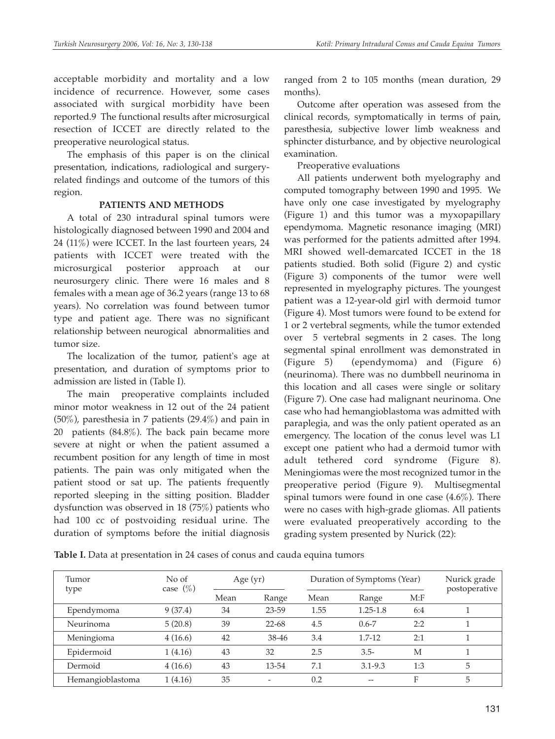acceptable morbidity and mortality and a low incidence of recurrence. However, some cases associated with surgical morbidity have been reported.9 The functional results after microsurgical resection of ICCET are directly related to the preoperative neurological status.

The emphasis of this paper is on the clinical presentation, indications, radiological and surgeryrelated findings and outcome of the tumors of this region.

### **PATIENTS AND METHODS**

A total of 230 intradural spinal tumors were histologically diagnosed between 1990 and 2004 and 24 (11%) were ICCET. In the last fourteen years, 24 patients with ICCET were treated with the microsurgical posterior approach at our neurosurgery clinic. There were 16 males and 8 females with a mean age of 36.2 years (range 13 to 68 years). No correlation was found between tumor type and patient age. There was no significant relationship between neurogical abnormalities and tumor size.

The localization of the tumor, patient's age at presentation, and duration of symptoms prior to admission are listed in (Table I).

The main preoperative complaints included minor motor weakness in 12 out of the 24 patient (50%), paresthesia in 7 patients (29.4%) and pain in 20 patients (84.8%). The back pain became more severe at night or when the patient assumed a recumbent position for any length of time in most patients. The pain was only mitigated when the patient stood or sat up. The patients frequently reported sleeping in the sitting position. Bladder dysfunction was observed in 18 (75%) patients who had 100 cc of postvoiding residual urine. The duration of symptoms before the initial diagnosis

ranged from 2 to 105 months (mean duration, 29 months).

Outcome after operation was assesed from the clinical records, symptomatically in terms of pain, paresthesia, subjective lower limb weakness and sphincter disturbance, and by objective neurological examination.

Preoperative evaluations

All patients underwent both myelography and computed tomography between 1990 and 1995. We have only one case investigated by myelography (Figure 1) and this tumor was a myxopapillary ependymoma. Magnetic resonance imaging (MRI) was performed for the patients admitted after 1994. MRI showed well-demarcated ICCET in the 18 patients studied. Both solid (Figure 2) and cystic (Figure 3) components of the tumor were well represented in myelography pictures. The youngest patient was a 12-year-old girl with dermoid tumor (Figure 4). Most tumors were found to be extend for 1 or 2 vertebral segments, while the tumor extended over 5 vertebral segments in 2 cases. The long segmental spinal enrollment was demonstrated in (Figure 5) (ependymoma) and (Figure 6) (neurinoma). There was no dumbbell neurinoma in this location and all cases were single or solitary (Figure 7). One case had malignant neurinoma. One case who had hemangioblastoma was admitted with paraplegia, and was the only patient operated as an emergency. The location of the conus level was L1 except one patient who had a dermoid tumor with adult tethered cord syndrome (Figure 8). Meningiomas were the most recognized tumor in the preoperative period (Figure 9). Multisegmental spinal tumors were found in one case (4.6%). There were no cases with high-grade gliomas. All patients were evaluated preoperatively according to the grading system presented by Nurick (22):

**Table I.** Data at presentation in 24 cases of conus and cauda equina tumors

| Tumor            | No of<br>case $(\%)$ | Age $(yr)$ |           | Duration of Symptoms (Year) |              |      | Nurick grade<br>postoperative |
|------------------|----------------------|------------|-----------|-----------------------------|--------------|------|-------------------------------|
| type             |                      | Mean       | Range     | Mean                        | Range        | M: F |                               |
| Ependymoma       | 9(37.4)              | 34         | 23-59     | 1.55                        | $1.25 - 1.8$ | 6:4  |                               |
| Neurinoma        | 5(20.8)              | 39         | $22 - 68$ | 4.5                         | $0.6 - 7$    | 2:2  |                               |
| Meningioma       | 4(16.6)              | 42         | 38-46     | 3.4                         | $1.7 - 12$   | 2:1  |                               |
| Epidermoid       | 1(4.16)              | 43         | 32        | 2.5                         | $3.5-$       | M    |                               |
| Dermoid          | 4(16.6)              | 43         | 13-54     | 7.1                         | $3.1 - 9.3$  | 1:3  | 5                             |
| Hemangioblastoma | 1(4.16)              | 35         |           | 0.2                         |              | F    | 5                             |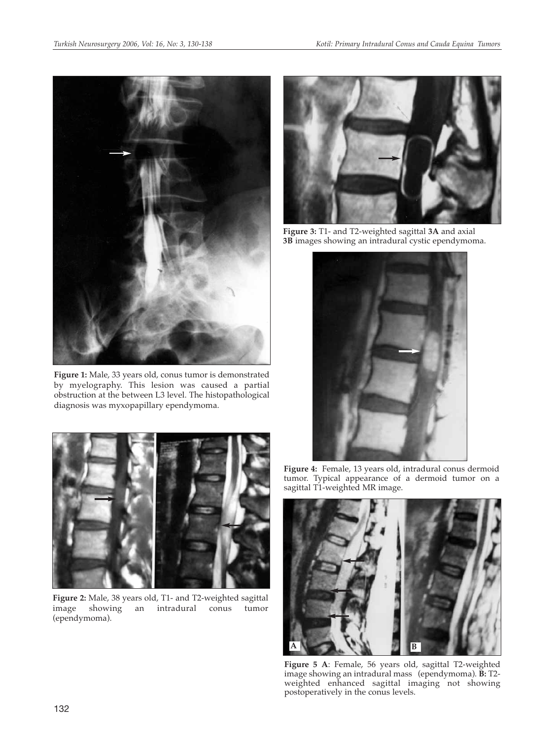

**Figure 1:** Male, 33 years old, conus tumor is demonstrated by myelography. This lesion was caused a partial obstruction at the between L3 level. The histopathological diagnosis was myxopapillary ependymoma.



**Figure 2:** Male, 38 years old, T1- and T2-weighted sagittal image showing an intradural conus tumor (ependymoma).



**Figure 3:** T1- and T2-weighted sagittal **3A** and axial **3B** images showing an intradural cystic ependymoma.



**Figure 4:** Female, 13 years old, intradural conus dermoid tumor. Typical appearance of a dermoid tumor on a sagittal T1-weighted MR image.



**Figure 5 A**: Female, 56 years old, sagittal T2-weighted image showing an intradural mass (ependymoma). **B:** T2 weighted enhanced sagittal imaging not showing postoperatively in the conus levels.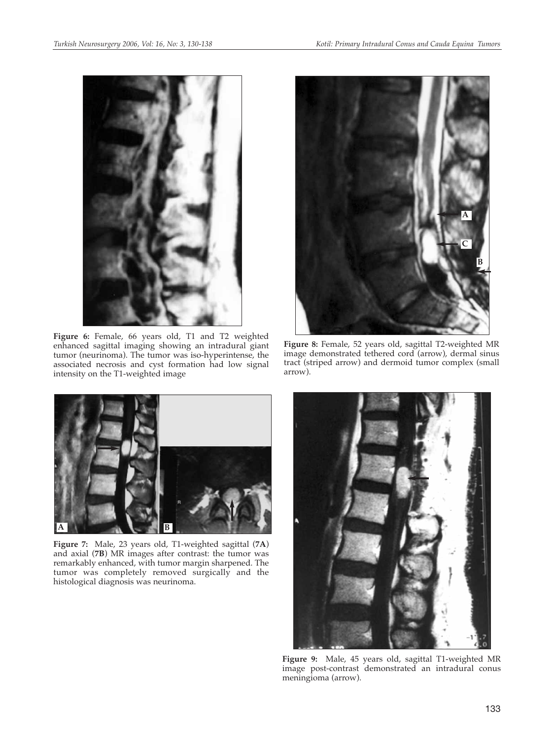

**Figure 6:** Female, 66 years old, T1 and T2 weighted enhanced sagittal imaging showing an intradural giant tumor (neurinoma). The tumor was iso-hyperintense, the associated necrosis and cyst formation had low signal intensity on the T1-weighted image



**Figure 8:** Female, 52 years old, sagittal T2-weighted MR image demonstrated tethered cord (arrow), dermal sinus tract (striped arrow) and dermoid tumor complex (small arrow).



**Figure 7:** Male, 23 years old, T1-weighted sagittal (**7A**) and axial (**7B**) MR images after contrast: the tumor was remarkably enhanced, with tumor margin sharpened. The tumor was completely removed surgically and the histological diagnosis was neurinoma.



**Figure 9:** Male, 45 years old, sagittal T1-weighted MR image post-contrast demonstrated an intradural conus meningioma (arrow).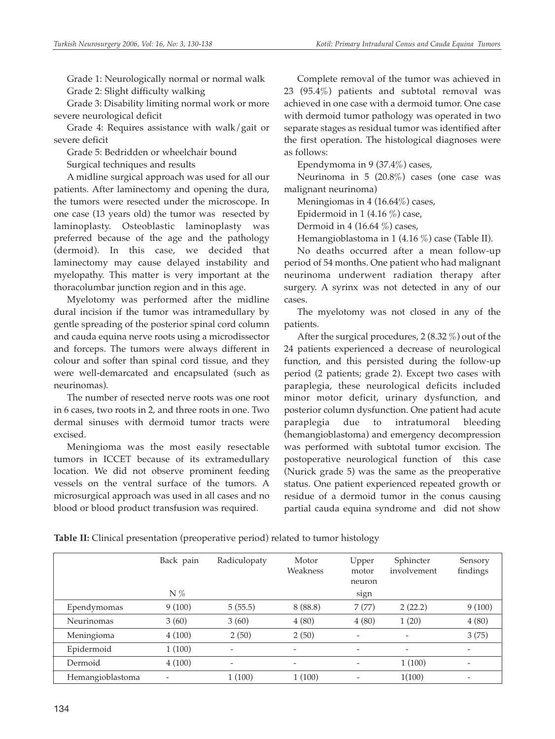Grade 1: Neurologically normal or normal walk Grade 2: Slight difficulty walking

Grade 3: Disability limiting normal work or more severe neurological deficit

Grade 4: Requires assistance with walk/gait or severe deficit

Grade 5: Bedridden or wheelchair bound Surgical techniques and results

A midline surgical approach was used for all our patients. After laminectomy and opening the dura, the tumors were resected under the microscope. In one case (13 years old) the tumor was resected by laminoplasty. Osteoblastic laminoplasty was preferred because of the age and the pathology (dermoid). In this case, we decided that laminectomy may cause delayed instability and myelopathy. This matter is very important at the thoracolumbar junction region and in this age.

Myelotomy was performed after the midline dural incision if the tumor was intramedullary by gentle spreading of the posterior spinal cord column and cauda equina nerve roots using a microdissector and forceps. The tumors were always different in colour and softer than spinal cord tissue, and they were well-demarcated and encapsulated (such as neurinomas).

The number of resected nerve roots was one root in 6 cases, two roots in 2, and three roots in one. Two dermal sinuses with dermoid tumor tracts were excised.

Meningioma was the most easily resectable tumors in ICCET because of its extramedullary location. We did not observe prominent feeding vessels on the ventral surface of the tumors. A microsurgical approach was used in all cases and no blood or blood product transfusion was required.

Complete removal of the tumor was achieved in 23 (95.4%) patients and subtotal removal was achieved in one case with a dermoid tumor. One case with dermoid tumor pathology was operated in two separate stages as residual tumor was identified after the first operation. The histological diagnoses were as follows:

Ependymoma in 9 (37.4%) cases,

Neurinoma in 5 (20.8%) cases (one case was malignant neurinoma)

Meningiomas in 4 (16.64%) cases,

Epidermoid in 1 (4.16  $\%$ ) case,

Dermoid in 4 (16.64  $\%$ ) cases,

Hemangioblastoma in 1 (4.16 %) case (Table II).

No deaths occurred after a mean follow-up period of 54 months. One patient who had malignant neurinoma underwent radiation therapy after surgery. A syrinx was not detected in any of our cases.

The myelotomy was not closed in any of the patients.

After the surgical procedures, 2 (8.32 %) out of the 24 patients experienced a decrease of neurological function, and this persisted during the follow-up period (2 patients; grade 2). Except two cases with paraplegia, these neurological deficits included minor motor deficit, urinary dysfunction, and posterior column dysfunction. One patient had acute paraplegia due to intratumoral bleeding (hemangioblastoma) and emergency decompression was performed with subtotal tumor excision. The postoperative neurological function of this case (Nurick grade 5) was the same as the preoperative status. One patient experienced repeated growth or residue of a dermoid tumor in the conus causing partial cauda equina syndrome and did not show

|                  | Back pain<br>$N\%$ | Radiculopaty                 | Motor<br>Weakness        | Upper<br>motor<br>neuron<br>sign | Sphincter<br>involvement | Sensory<br>findings |
|------------------|--------------------|------------------------------|--------------------------|----------------------------------|--------------------------|---------------------|
| Ependymomas      | 9(100)             | 5(55.5)                      | 8(88.8)                  | 7(77)                            | 2(22.2)                  | 9(100)              |
| Neurinomas       | 3(60)              | 3(60)                        | 4(80)                    | 4(80)                            | 1(20)                    | 4(80)               |
| Meningioma       | 4(100)             | 2(50)                        | 2(50)                    |                                  |                          | 3(75)               |
| Epidermoid       | 1(100)             | $\overline{\phantom{m}}$     | $\overline{\phantom{a}}$ | $\overline{\phantom{a}}$         | $\overline{\phantom{a}}$ |                     |
| Dermoid          | 4(100)             | $\qquad \qquad \blacksquare$ | $\overline{\phantom{a}}$ |                                  | 1(100)                   |                     |
| Hemangioblastoma |                    | 1(100)                       | 1(100)                   |                                  | 1(100)                   |                     |

**Table II:** Clinical presentation (preoperative period) related to tumor histology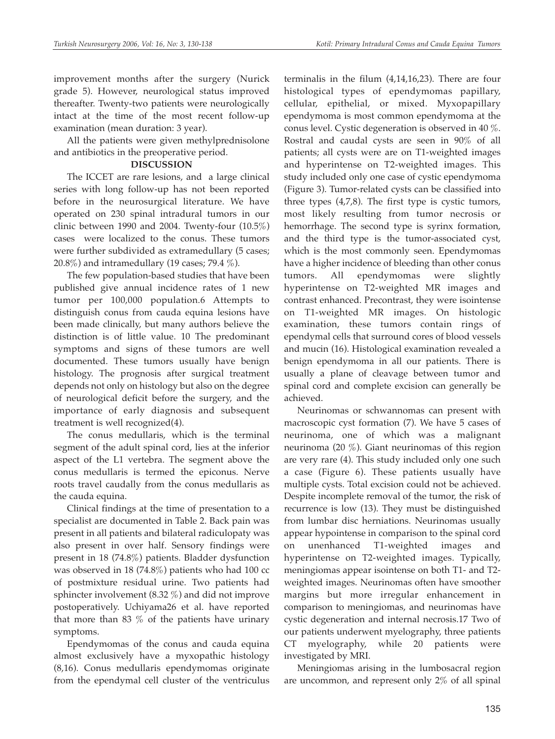improvement months after the surgery (Nurick grade 5). However, neurological status improved thereafter. Twenty-two patients were neurologically intact at the time of the most recent follow-up examination (mean duration: 3 year).

All the patients were given methylprednisolone and antibiotics in the preoperative period.

## **DISCUSSION**

The ICCET are rare lesions, and a large clinical series with long follow-up has not been reported before in the neurosurgical literature. We have operated on 230 spinal intradural tumors in our clinic between 1990 and 2004. Twenty-four (10.5%) cases were localized to the conus. These tumors were further subdivided as extramedullary (5 cases; 20.8%) and intramedullary (19 cases; 79.4 %).

The few population-based studies that have been published give annual incidence rates of 1 new tumor per 100,000 population.6 Attempts to distinguish conus from cauda equina lesions have been made clinically, but many authors believe the distinction is of little value. 10 The predominant symptoms and signs of these tumors are well documented. These tumors usually have benign histology. The prognosis after surgical treatment depends not only on histology but also on the degree of neurological deficit before the surgery, and the importance of early diagnosis and subsequent treatment is well recognized(4).

The conus medullaris, which is the terminal segment of the adult spinal cord, lies at the inferior aspect of the L1 vertebra. The segment above the conus medullaris is termed the epiconus. Nerve roots travel caudally from the conus medullaris as the cauda equina.

Clinical findings at the time of presentation to a specialist are documented in Table 2. Back pain was present in all patients and bilateral radiculopaty was also present in over half. Sensory findings were present in 18 (74.8%) patients. Bladder dysfunction was observed in 18 (74.8%) patients who had 100 cc of postmixture residual urine. Two patients had sphincter involvement (8.32 %) and did not improve postoperatively. Uchiyama26 et al. have reported that more than 83 % of the patients have urinary symptoms.

Ependymomas of the conus and cauda equina almost exclusively have a myxopathic histology (8,16). Conus medullaris ependymomas originate from the ependymal cell cluster of the ventriculus terminalis in the filum (4,14,16,23). There are four histological types of ependymomas papillary, cellular, epithelial, or mixed. Myxopapillary ependymoma is most common ependymoma at the conus level. Cystic degeneration is observed in 40 %. Rostral and caudal cysts are seen in 90% of all patients; all cysts were are on T1-weighted images and hyperintense on T2-weighted images. This study included only one case of cystic ependymoma (Figure 3). Tumor-related cysts can be classified into three types (4,7,8). The first type is cystic tumors, most likely resulting from tumor necrosis or hemorrhage. The second type is syrinx formation, and the third type is the tumor-associated cyst, which is the most commonly seen. Ependymomas have a higher incidence of bleeding than other conus tumors. All ependymomas were slightly hyperintense on T2-weighted MR images and contrast enhanced. Precontrast, they were isointense on T1-weighted MR images. On histologic examination, these tumors contain rings of ependymal cells that surround cores of blood vessels and mucin (16). Histological examination revealed a benign ependymoma in all our patients. There is usually a plane of cleavage between tumor and spinal cord and complete excision can generally be achieved.

Neurinomas or schwannomas can present with macroscopic cyst formation (7). We have 5 cases of neurinoma, one of which was a malignant neurinoma (20 %). Giant neurinomas of this region are very rare (4). This study included only one such a case (Figure 6). These patients usually have multiple cysts. Total excision could not be achieved. Despite incomplete removal of the tumor, the risk of recurrence is low (13). They must be distinguished from lumbar disc herniations. Neurinomas usually appear hypointense in comparison to the spinal cord on unenhanced T1-weighted images and hyperintense on T2-weighted images. Typically, meningiomas appear isointense on both T1- and T2 weighted images. Neurinomas often have smoother margins but more irregular enhancement in comparison to meningiomas, and neurinomas have cystic degeneration and internal necrosis.17 Two of our patients underwent myelography, three patients CT myelography, while 20 patients were investigated by MRI.

Meningiomas arising in the lumbosacral region are uncommon, and represent only 2% of all spinal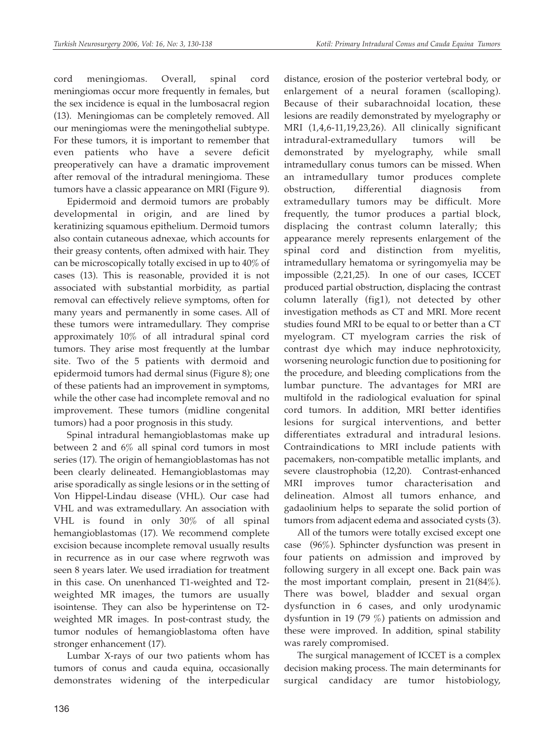cord meningiomas. Overall, spinal cord meningiomas occur more frequently in females, but the sex incidence is equal in the lumbosacral region (13). Meningiomas can be completely removed. All our meningiomas were the meningothelial subtype. For these tumors, it is important to remember that even patients who have a severe deficit preoperatively can have a dramatic improvement after removal of the intradural meningioma. These tumors have a classic appearance on MRI (Figure 9).

Epidermoid and dermoid tumors are probably developmental in origin, and are lined by keratinizing squamous epithelium. Dermoid tumors also contain cutaneous adnexae, which accounts for their greasy contents, often admixed with hair. They can be microscopically totally excised in up to 40% of cases (13). This is reasonable, provided it is not associated with substantial morbidity, as partial removal can effectively relieve symptoms, often for many years and permanently in some cases. All of these tumors were intramedullary. They comprise approximately 10% of all intradural spinal cord tumors. They arise most frequently at the lumbar site. Two of the 5 patients with dermoid and epidermoid tumors had dermal sinus (Figure 8); one of these patients had an improvement in symptoms, while the other case had incomplete removal and no improvement. These tumors (midline congenital tumors) had a poor prognosis in this study.

Spinal intradural hemangioblastomas make up between 2 and 6% all spinal cord tumors in most series (17). The origin of hemangioblastomas has not been clearly delineated. Hemangioblastomas may arise sporadically as single lesions or in the setting of Von Hippel-Lindau disease (VHL). Our case had VHL and was extramedullary. An association with VHL is found in only 30% of all spinal hemangioblastomas (17). We recommend complete excision because incomplete removal usually results in recurrence as in our case where regrwoth was seen 8 years later. We used irradiation for treatment in this case. On unenhanced T1-weighted and T2 weighted MR images, the tumors are usually isointense. They can also be hyperintense on T2 weighted MR images. In post-contrast study, the tumor nodules of hemangioblastoma often have stronger enhancement (17).

Lumbar X-rays of our two patients whom has tumors of conus and cauda equina, occasionally demonstrates widening of the interpedicular distance, erosion of the posterior vertebral body, or enlargement of a neural foramen (scalloping). Because of their subarachnoidal location, these lesions are readily demonstrated by myelography or MRI (1,4,6-11,19,23,26). All clinically significant intradural-extramedullary tumors will be demonstrated by myelography, while small intramedullary conus tumors can be missed. When an intramedullary tumor produces complete obstruction, differential diagnosis from extramedullary tumors may be difficult. More frequently, the tumor produces a partial block, displacing the contrast column laterally; this appearance merely represents enlargement of the spinal cord and distinction from myelitis, intramedullary hematoma or syringomyelia may be impossible (2,21,25). In one of our cases, ICCET produced partial obstruction, displacing the contrast column laterally (fig1), not detected by other investigation methods as CT and MRI. More recent studies found MRI to be equal to or better than a CT myelogram. CT myelogram carries the risk of contrast dye which may induce nephrotoxicity, worsening neurologic function due to positioning for the procedure, and bleeding complications from the lumbar puncture. The advantages for MRI are multifold in the radiological evaluation for spinal cord tumors. In addition, MRI better identifies lesions for surgical interventions, and better differentiates extradural and intradural lesions. Contraindications to MRI include patients with pacemakers, non-compatible metallic implants, and severe claustrophobia (12,20). Contrast-enhanced MRI improves tumor characterisation and delineation. Almost all tumors enhance, and gadaolinium helps to separate the solid portion of tumors from adjacent edema and associated cysts (3).

All of the tumors were totally excised except one case (96%). Sphincter dysfunction was present in four patients on admission and improved by following surgery in all except one. Back pain was the most important complain, present in 21(84%). There was bowel, bladder and sexual organ dysfunction in 6 cases, and only urodynamic dysfuntion in 19 (79 %) patients on admission and these were improved. In addition, spinal stability was rarely compromised.

The surgical management of ICCET is a complex decision making process. The main determinants for surgical candidacy are tumor histobiology,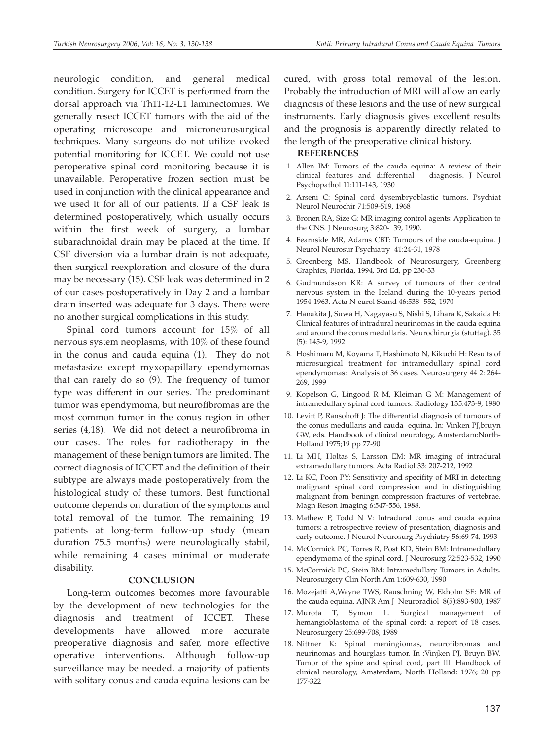neurologic condition, and general medical condition. Surgery for ICCET is performed from the dorsal approach via Th11-12-L1 laminectomies. We generally resect ICCET tumors with the aid of the operating microscope and microneurosurgical techniques. Many surgeons do not utilize evoked potential monitoring for ICCET. We could not use peroperative spinal cord monitoring because it is unavailable. Peroperative frozen section must be used in conjunction with the clinical appearance and we used it for all of our patients. If a CSF leak is determined postoperatively, which usually occurs within the first week of surgery, a lumbar subarachnoidal drain may be placed at the time. If CSF diversion via a lumbar drain is not adequate, then surgical reexploration and closure of the dura may be necessary (15). CSF leak was determined in 2 of our cases postoperatively in Day 2 and a lumbar drain inserted was adequate for 3 days. There were no another surgical complications in this study.

Spinal cord tumors account for 15% of all nervous system neoplasms, with 10% of these found in the conus and cauda equina (1). They do not metastasize except myxopapillary ependymomas that can rarely do so (9). The frequency of tumor type was different in our series. The predominant tumor was ependymoma, but neurofibromas are the most common tumor in the conus region in other series (4,18). We did not detect a neurofibroma in our cases. The roles for radiotherapy in the management of these benign tumors are limited. The correct diagnosis of ICCET and the definition of their subtype are always made postoperatively from the histological study of these tumors. Best functional outcome depends on duration of the symptoms and total removal of the tumor. The remaining 19 patients at long-term follow-up study (mean duration 75.5 months) were neurologically stabil, while remaining 4 cases minimal or moderate disability.

#### **CONCLUSION**

Long-term outcomes becomes more favourable by the development of new technologies for the diagnosis and treatment of ICCET. These developments have allowed more accurate preoperative diagnosis and safer, more effective operative interventions. Although follow-up surveillance may be needed, a majority of patients with solitary conus and cauda equina lesions can be

cured, with gross total removal of the lesion. Probably the introduction of MRI will allow an early diagnosis of these lesions and the use of new surgical instruments. Early diagnosis gives excellent results and the prognosis is apparently directly related to the length of the preoperative clinical history.

#### **REFERENCES**

- 1. Allen IM: Tumors of the cauda equina: A review of their clinical features and differential diagnosis. J Neurol Psychopathol 11:111-143, 1930
- 2. Arseni C: Spinal cord dysembryoblastic tumors. Psychiat Neurol Neurochir 71:509-519, 1968
- 3. Bronen RA, Size G: MR imaging control agents: Application to the CNS. J Neurosurg 3:820- 39, 1990.
- 4. Fearnside MR, Adams CBT: Tumours of the cauda-equina. J Neurol Neurosur Psychiatry 41:24-31, 1978
- 5. Greenberg MS. Handbook of Neurosurgery, Greenberg Graphics, Florida, 1994, 3rd Ed, pp 230-33
- 6. Gudmundsson KR: A survey of tumours of ther central nervous system in the Iceland during the 10-years period 1954-1963. Acta N eurol Scand 46:538 -552, 1970
- 7. Hanakita J, Suwa H, Nagayasu S, Nishi S, Lihara K, Sakaida H: Clinical features of intradural neurinomas in the cauda equina and around the conus medullaris. Neurochirurgia (stuttag). 35 (5): 145-9, 1992
- 8. Hoshimaru M, Koyama T, Hashimoto N, Kikuchi H: Results of microsurgical treatment for intramedullary spinal cord ependymomas: Analysis of 36 cases. Neurosurgery 44 2: 264- 269, 1999
- 9. Kopelson G, Lingood R M, Kleiman G M: Management of intramedullary spinal cord tumors. Radiology 135:473-9, 1980
- 10. Levitt P, Ransohoff J: The differential diagnosis of tumours of the conus medullaris and cauda equina. In: Vinken PJ,bruyn GW, eds. Handbook of clinical neurology, Amsterdam:North-Holland 1975;19 pp 77-90
- 11. Li MH, Holtas S, Larsson EM: MR imaging of intradural extramedullary tumors. Acta Radiol 33: 207-212, 1992
- 12. Li KC, Poon PY: Sensitivity and specifity of MRI in detecting malignant spinal cord compression and in distinguishing malignant from beningn compression fractures of vertebrae. Magn Reson Imaging 6:547-556, 1988.
- 13. Mathew P, Todd N V: Intradural conus and cauda equina tumors: a retrospective review of presentation, diagnosis and early outcome. J Neurol Neurosurg Psychiatry 56:69-74, 1993
- 14. McCormick PC, Torres R, Post KD, Stein BM: Intramedullary ependymoma of the spinal cord. J Neurosurg 72:523-532, 1990
- 15. McCormick PC, Stein BM: Intramedullary Tumors in Adults. Neurosurgery Clin North Am 1:609-630, 1990
- 16. Mozejatti A,Wayne TWS, Rauschning W, Ekholm SE: MR of the cauda equina. AJNR Am J Neuroradiol 8(5):893-900, 1987
- 17. Murota T, Symon L. Surgical management of hemangioblastoma of the spinal cord: a report of 18 cases. Neurosurgery 25:699-708, 1989
- 18. Nittner K: Spinal meningiomas, neurofibromas and neurinomas and hourglass tumor. In :Vinjken PJ, Bruyn BW. Tumor of the spine and spinal cord, part lll. Handbook of clinical neurology, Amsterdam, North Holland: 1976; 20 pp 177-322